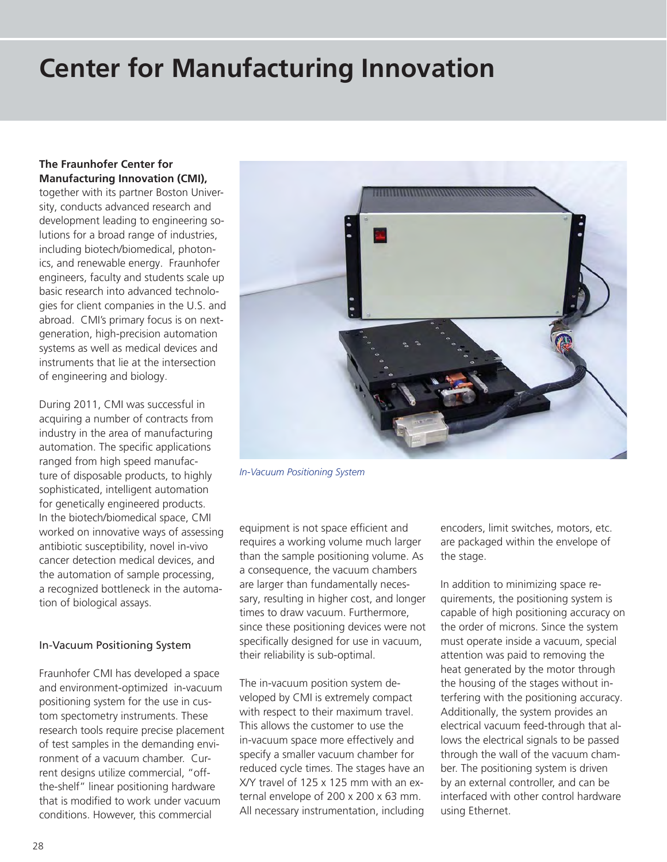# **Center for Manufacturing Innovation**

## **The Fraunhofer Center for Manufacturing Innovation (CMI),**

together with its partner Boston University, conducts advanced research and development leading to engineering solutions for a broad range of industries, including biotech/biomedical, photonics, and renewable energy. Fraunhofer engineers, faculty and students scale up basic research into advanced technologies for client companies in the U.S. and abroad. CMI's primary focus is on nextgeneration, high-precision automation systems as well as medical devices and instruments that lie at the intersection of engineering and biology.

During 2011, CMI was successful in acquiring a number of contracts from industry in the area of manufacturing automation. The specific applications ranged from high speed manufacture of disposable products, to highly sophisticated, intelligent automation for genetically engineered products. In the biotech/biomedical space, CMI worked on innovative ways of assessing antibiotic susceptibility, novel in-vivo cancer detection medical devices, and the automation of sample processing, a recognized bottleneck in the automation of biological assays.

#### In-Vacuum Positioning System

Fraunhofer CMI has developed a space and environment-optimized in-vacuum positioning system for the use in custom spectometry instruments. These research tools require precise placement of test samples in the demanding environment of a vacuum chamber. Current designs utilize commercial, "offthe-shelf" linear positioning hardware that is modified to work under vacuum conditions. However, this commercial



*In-Vacuum Positioning System*

equipment is not space efficient and requires a working volume much larger than the sample positioning volume. As a consequence, the vacuum chambers are larger than fundamentally necessary, resulting in higher cost, and longer times to draw vacuum. Furthermore, since these positioning devices were not specifically designed for use in vacuum, their reliability is sub-optimal.

The in-vacuum position system developed by CMI is extremely compact with respect to their maximum travel. This allows the customer to use the in-vacuum space more effectively and specify a smaller vacuum chamber for reduced cycle times. The stages have an X/Y travel of 125 x 125 mm with an external envelope of 200 x 200 x 63 mm. All necessary instrumentation, including

encoders, limit switches, motors, etc. are packaged within the envelope of the stage.

In addition to minimizing space requirements, the positioning system is capable of high positioning accuracy on the order of microns. Since the system must operate inside a vacuum, special attention was paid to removing the heat generated by the motor through the housing of the stages without interfering with the positioning accuracy. Additionally, the system provides an electrical vacuum feed-through that allows the electrical signals to be passed through the wall of the vacuum chamber. The positioning system is driven by an external controller, and can be interfaced with other control hardware using Ethernet.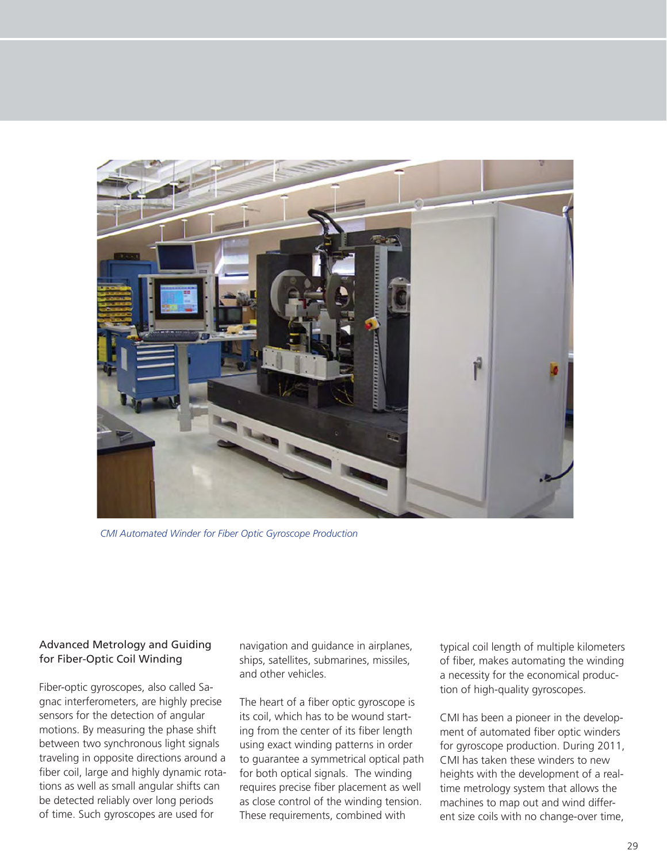

*CMI Automated Winder for Fiber Optic Gyroscope Production*

# Advanced Metrology and Guiding for Fiber-Optic Coil Winding

Fiber-optic gyroscopes, also called Sagnac interferometers, are highly precise sensors for the detection of angular motions. By measuring the phase shift between two synchronous light signals traveling in opposite directions around a fiber coil, large and highly dynamic rotations as well as small angular shifts can be detected reliably over long periods of time. Such gyroscopes are used for

navigation and guidance in airplanes, ships, satellites, submarines, missiles, and other vehicles.

The heart of a fiber optic gyroscope is its coil, which has to be wound starting from the center of its fiber length using exact winding patterns in order to guarantee a symmetrical optical path for both optical signals. The winding requires precise fiber placement as well as close control of the winding tension. These requirements, combined with

typical coil length of multiple kilometers of fiber, makes automating the winding a necessity for the economical production of high-quality gyroscopes.

CMI has been a pioneer in the development of automated fiber optic winders for gyroscope production. During 2011, CMI has taken these winders to new heights with the development of a realtime metrology system that allows the machines to map out and wind different size coils with no change-over time,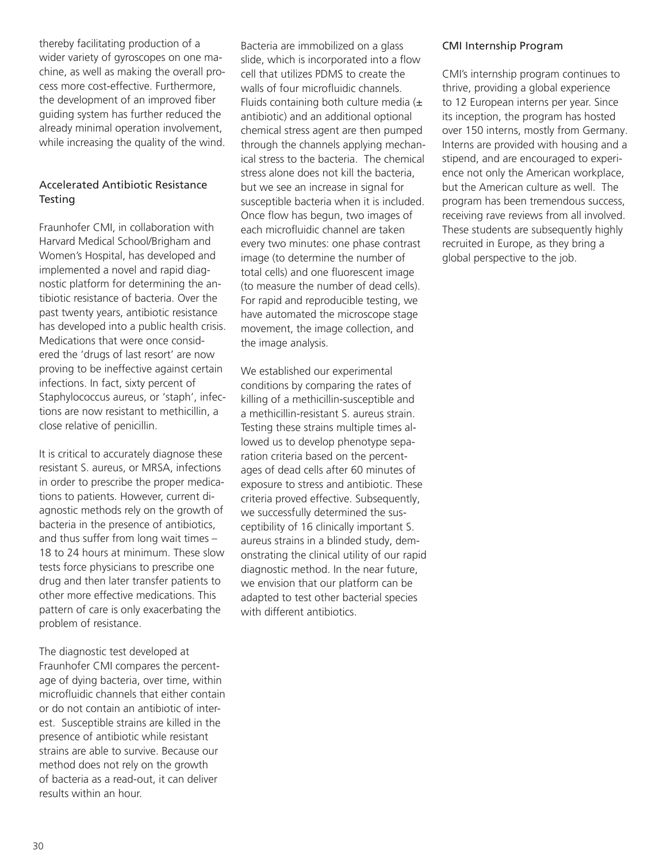thereby facilitating production of a wider variety of gyroscopes on one machine, as well as making the overall process more cost-effective. Furthermore, the development of an improved fiber guiding system has further reduced the already minimal operation involvement, while increasing the quality of the wind.

#### Accelerated Antibiotic Resistance **Testing**

Fraunhofer CMI, in collaboration with Harvard Medical School/Brigham and Women's Hospital, has developed and implemented a novel and rapid diagnostic platform for determining the antibiotic resistance of bacteria. Over the past twenty years, antibiotic resistance has developed into a public health crisis. Medications that were once considered the 'drugs of last resort' are now proving to be ineffective against certain infections. In fact, sixty percent of Staphylococcus aureus, or 'staph', infections are now resistant to methicillin, a close relative of penicillin.

It is critical to accurately diagnose these resistant S. aureus, or MRSA, infections in order to prescribe the proper medications to patients. However, current diagnostic methods rely on the growth of bacteria in the presence of antibiotics, and thus suffer from long wait times – 18 to 24 hours at minimum. These slow tests force physicians to prescribe one drug and then later transfer patients to other more effective medications. This pattern of care is only exacerbating the problem of resistance.

The diagnostic test developed at Fraunhofer CMI compares the percentage of dying bacteria, over time, within microfluidic channels that either contain or do not contain an antibiotic of interest. Susceptible strains are killed in the presence of antibiotic while resistant strains are able to survive. Because our method does not rely on the growth of bacteria as a read-out, it can deliver results within an hour.

Bacteria are immobilized on a glass slide, which is incorporated into a flow cell that utilizes PDMS to create the walls of four microfluidic channels. Fluids containing both culture media  $(±)$ antibiotic) and an additional optional chemical stress agent are then pumped through the channels applying mechanical stress to the bacteria. The chemical stress alone does not kill the bacteria, but we see an increase in signal for susceptible bacteria when it is included. Once flow has begun, two images of each microfluidic channel are taken every two minutes: one phase contrast image (to determine the number of total cells) and one fluorescent image (to measure the number of dead cells). For rapid and reproducible testing, we have automated the microscope stage movement, the image collection, and the image analysis.

We established our experimental conditions by comparing the rates of killing of a methicillin-susceptible and a methicillin-resistant S. aureus strain. Testing these strains multiple times allowed us to develop phenotype separation criteria based on the percentages of dead cells after 60 minutes of exposure to stress and antibiotic. These criteria proved effective. Subsequently, we successfully determined the susceptibility of 16 clinically important S. aureus strains in a blinded study, demonstrating the clinical utility of our rapid diagnostic method. In the near future, we envision that our platform can be adapted to test other bacterial species with different antibiotics.

## CMI Internship Program

CMI's internship program continues to thrive, providing a global experience to 12 European interns per year. Since its inception, the program has hosted over 150 interns, mostly from Germany. Interns are provided with housing and a stipend, and are encouraged to experience not only the American workplace, but the American culture as well. The program has been tremendous success, receiving rave reviews from all involved. These students are subsequently highly recruited in Europe, as they bring a global perspective to the job.